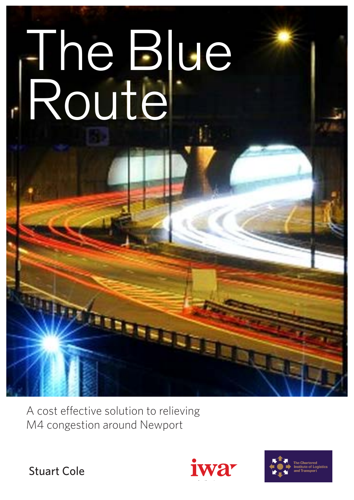# The Blue Route

A cost effective solution to relieving M4 congestion around Newport





Stuart Cole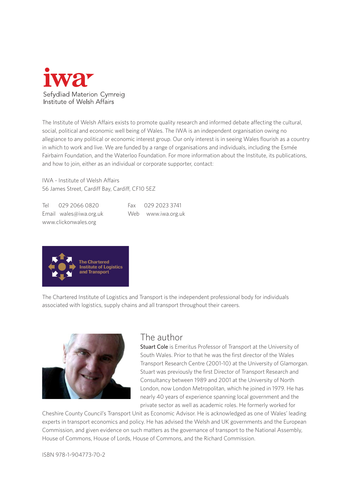

The Institute of Welsh Affairs exists to promote quality research and informed debate affecting the cultural, social, political and economic well being of Wales. The IWA is an independent organisation owing no allegiance to any political or economic interest group. Our only interest is in seeing Wales flourish as a country in which to work and live. We are funded by a range of organisations and individuals, including the Esmée Fairbairn Foundation, and the Waterloo Foundation. For more information about the Institute, its publications, and how to join, either as an individual or corporate supporter, contact:

IWA - Institute of Welsh Affairs 56 James Street, Cardiff Bay, Cardiff, CF10 5EZ

Tel 029 2066 0820 Fax 029 2023 3741 Email wales@iwa.org.uk Web www.iwa.org.uk www.clickonwales.org



The Chartered Institute of Logistics and Transport is the independent professional body for individuals associated with logistics, supply chains and all transport throughout their careers.



## The author

Stuart Cole is Emeritus Professor of Transport at the University of South Wales. Prior to that he was the first director of the Wales Transport Research Centre (2001-10) at the University of Glamorgan. Stuart was previously the first Director of Transport Research and Consultancy between 1989 and 2001 at the University of North London, now London Metropolitan, which he joined in 1979. He has nearly 40 years of experience spanning local government and the private sector as well as academic roles. He formerly worked for

Cheshire County Council's Transport Unit as Economic Advisor. He is acknowledged as one of Wales' leading experts in transport economics and policy. He has advised the Welsh and UK governments and the European Commission, and given evidence on such matters as the governance of transport to the National Assembly, House of Commons, House of Lords, House of Commons, and the Richard Commission.

ISBN 978-1-904773-70-2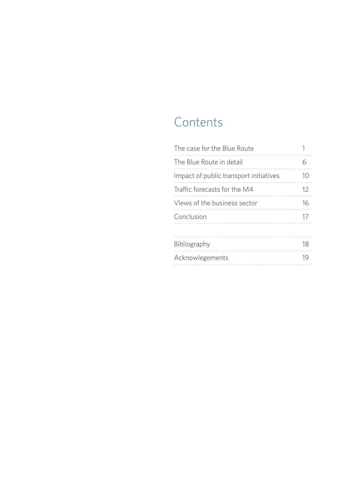# **Contents**

| The case for the Blue Route            |    |
|----------------------------------------|----|
| The Blue Route in detail               | 6  |
| Impact of public transport initiatives | 10 |
| Traffic forecasts for the M4           | 12 |
| Views of the business sector           | 16 |
| Conclusion                             | 17 |
|                                        |    |
| Bibliography                           | 18 |
| Acknowlegements                        | 19 |
|                                        |    |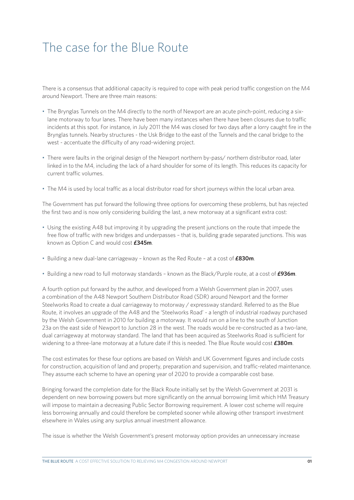# The case for the Blue Route

There is a consensus that additional capacity is required to cope with peak period traffic congestion on the M4 around Newport. There are three main reasons:

- The Brynglas Tunnels on the M4 directly to the north of Newport are an acute pinch-point, reducing a sixlane motorway to four lanes. There have been many instances when there have been closures due to traffic incidents at this spot. For instance, in July 2011 the M4 was closed for two days after a lorry caught fire in the Brynglas tunnels. Nearby structures - the Usk Bridge to the east of the Tunnels and the canal bridge to the west - accentuate the difficulty of any road-widening project.
- There were faults in the original design of the Newport northern by-pass/ northern distributor road, later linked in to the M4, including the lack of a hard shoulder for some of its length. This reduces its capacity for current traffic volumes.
- The M4 is used by local traffic as a local distributor road for short journeys within the local urban area.

The Government has put forward the following three options for overcoming these problems, but has rejected the first two and is now only considering building the last, a new motorway at a significant extra cost:

- Using the existing A48 but improving it by upgrading the present junctions on the route that impede the free flow of traffic with new bridges and underpasses – that is, building grade separated junctions. This was known as Option C and would cost **£345m**.
- Building a new dual-lane carriageway known as the Red Route at a cost of **£830m**.
- Building a new road to full motorway standards known as the Black/Purple route, at a cost of **£936m**.

A fourth option put forward by the author, and developed from a Welsh Government plan in 2007, uses a combination of the A48 Newport Southern Distributor Road (SDR) around Newport and the former Steelworks Road to create a dual carriageway to motorway / expressway standard. Referred to as the Blue Route, it involves an upgrade of the A48 and the 'Steelworks Road' - a length of industrial roadway purchased by the Welsh Government in 2010 for building a motorway. It would run on a line to the south of Junction 23a on the east side of Newport to Junction 28 in the west. The roads would be re-constructed as a two-lane, dual carriageway at motorway standard. The land that has been acquired as Steelworks Road is sufficient for widening to a three-lane motorway at a future date if this is needed. The Blue Route would cost **£380m**.

The cost estimates for these four options are based on Welsh and UK Government figures and include costs for construction, acquisition of land and property, preparation and supervision, and traffic-related maintenance. They assume each scheme to have an opening year of 2020 to provide a comparable cost base.

Bringing forward the completion date for the Black Route initially set by the Welsh Government at 2031 is dependent on new borrowing powers but more significantly on the annual borrowing limit which HM Treasury will impose to maintain a decreasing Public Sector Borrowing requirement. A lower cost scheme will require less borrowing annually and could therefore be completed sooner while allowing other transport investment elsewhere in Wales using any surplus annual investment allowance.

The issue is whether the Welsh Government's present motorway option provides an unnecessary increase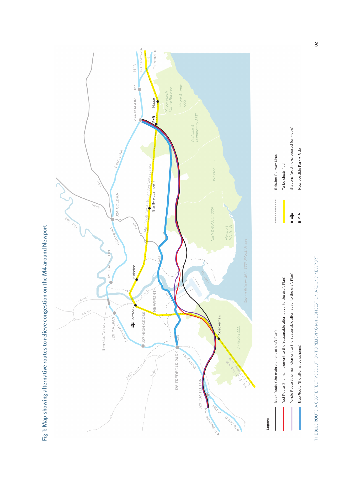

THE BLUE ROUTE A COST EFFECTIVE SOLUTION TO RELIEVING M4 CONGESTION AROUND NEWPORT THE BLUE ROUTE A COST EFFECTIVE SOLUTION TO RELIEVING M4 CONGESTION AROUND NEWPORT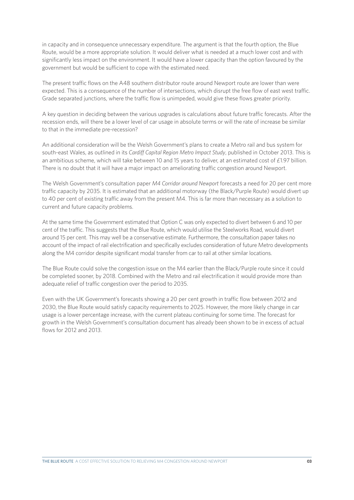in capacity and in consequence unnecessary expenditure. The argument is that the fourth option, the Blue Route, would be a more appropriate solution. It would deliver what is needed at a much lower cost and with significantly less impact on the environment. It would have a lower capacity than the option favoured by the government but would be sufficient to cope with the estimated need.

The present traffic flows on the A48 southern distributor route around Newport route are lower than were expected. This is a consequence of the number of intersections, which disrupt the free flow of east west traffic. Grade separated junctions, where the traffic flow is unimpeded, would give these flows greater priority.

A key question in deciding between the various upgrades is calculations about future traffic forecasts. After the recession ends, will there be a lower level of car usage in absolute terms or will the rate of increase be similar to that in the immediate pre-recession?

An additional consideration will be the Welsh Government's plans to create a Metro rail and bus system for south-east Wales, as outlined in its *Cardiff Capital Region Metro Impact Study*, published in October 2013. This is an ambitious scheme, which will take between 10 and 15 years to deliver, at an estimated cost of £1.97 billion. There is no doubt that it will have a major impact on ameliorating traffic congestion around Newport.

The Welsh Government's consultation paper *M4 Corridor around Newport* forecasts a need for 20 per cent more traffic capacity by 2035. It is estimated that an additional motorway (the Black/Purple Route) would divert up to 40 per cent of existing traffic away from the present M4. This is far more than necessary as a solution to current and future capacity problems.

At the same time the Government estimated that Option C was only expected to divert between 6 and 10 per cent of the traffic. This suggests that the Blue Route, which would utilise the Steelworks Road, would divert around 15 per cent. This may well be a conservative estimate. Furthermore, the consultation paper takes no account of the impact of rail electrification and specifically excludes consideration of future Metro developments along the M4 corridor despite significant modal transfer from car to rail at other similar locations.

The Blue Route could solve the congestion issue on the M4 earlier than the Black/Purple route since it could be completed sooner, by 2018. Combined with the Metro and rail electrification it would provide more than adequate relief of traffic congestion over the period to 2035.

Even with the UK Government's forecasts showing a 20 per cent growth in traffic flow between 2012 and 2030, the Blue Route would satisfy capacity requirements to 2025. However, the more likely change in car usage is a lower percentage increase, with the current plateau continuing for some time. The forecast for growth in the Welsh Government's consultation document has already been shown to be in excess of actual flows for 2012 and 2013.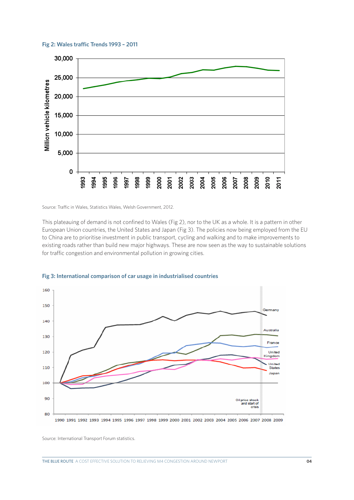**Fig 2: Wales traffic Trends 1993 – 2011**



Source: Traffic in Wales, Statistics Wales, Welsh Government, 2012.

This plateauing of demand is not confined to Wales (Fig 2), nor to the UK as a whole. It is a pattern in other European Union countries, the United States and Japan (Fig 3). The policies now being employed from the EU to China are to prioritise investment in public transport, cycling and walking and to make improvements to existing roads rather than build new major highways. These are now seen as the way to sustainable solutions for traffic congestion and environmental pollution in growing cities.



**Fig 3: International comparison of car usage in industrialised countries**

Source: International Transport Forum statistics.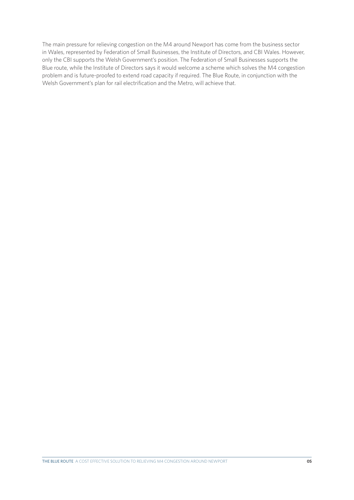The main pressure for relieving congestion on the M4 around Newport has come from the business sector in Wales, represented by Federation of Small Businesses, the Institute of Directors, and CBI Wales. However, only the CBI supports the Welsh Government's position. The Federation of Small Businesses supports the Blue route, while the Institute of Directors says it would welcome a scheme which solves the M4 congestion problem and is future-proofed to extend road capacity if required. The Blue Route, in conjunction with the Welsh Government's plan for rail electrification and the Metro, will achieve that.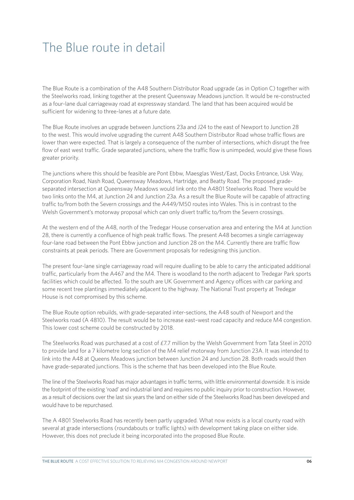# The Blue route in detail

The Blue Route is a combination of the A48 Southern Distributor Road upgrade (as in Option C) together with the Steelworks road, linking together at the present Queensway Meadows junction. It would be re-constructed as a four-lane dual carriageway road at expressway standard. The land that has been acquired would be sufficient for widening to three-lanes at a future date.

The Blue Route involves an upgrade between Junctions 23a and J24 to the east of Newport to Junction 28 to the west. This would involve upgrading the current A48 Southern Distributor Road whose traffic flows are lower than were expected. That is largely a consequence of the number of intersections, which disrupt the free flow of east west traffic. Grade separated junctions, where the traffic flow is unimpeded, would give these flows greater priority.

The junctions where this should be feasible are Pont Ebbw, Maesglas West/East, Docks Entrance, Usk Way, Corporation Road, Nash Road, Queensway Meadows, Hartridge, and Beatty Road. The proposed gradeseparated intersection at Queensway Meadows would link onto the A4801 Steelworks Road. There would be two links onto the M4, at Junction 24 and Junction 23a. As a result the Blue Route will be capable of attracting traffic to/from both the Severn crossings and the A449/M50 routes into Wales. This is in contrast to the Welsh Government's motorway proposal which can only divert traffic to/from the Severn crossings.

At the western end of the A48, north of the Tredegar House conservation area and entering the M4 at Junction 28, there is currently a confluence of high peak traffic flows. The present A48 becomes a single carriageway four-lane road between the Pont Ebbw junction and Junction 28 on the M4. Currently there are traffic flow constraints at peak periods. There are Government proposals for redesigning this junction.

The present four-lane single carriageway road will require dualling to be able to carry the anticipated additional traffic, particularly from the A467 and the M4. There is woodland to the north adjacent to Tredegar Park sports facilities which could be affected. To the south are UK Government and Agency offices with car parking and some recent tree plantings immediately adjacent to the highway. The National Trust property at Tredegar House is not compromised by this scheme.

The Blue Route option rebuilds, with grade-separated inter-sections, the A48 south of Newport and the Steelworks road (A 4810). The result would be to increase east–west road capacity and reduce M4 congestion. This lower cost scheme could be constructed by 2018.

The Steelworks Road was purchased at a cost of £7.7 million by the Welsh Government from Tata Steel in 2010 to provide land for a 7 kilometre long section of the M4 relief motorway from Junction 23A. It was intended to link into the A48 at Queens Meadows junction between Junction 24 and Junction 28. Both roads would then have grade-separated junctions. This is the scheme that has been developed into the Blue Route.

The line of the Steelworks Road has major advantages in traffic terms, with little environmental downside. It is inside the footprint of the existing 'road' and industrial land and requires no public inquiry prior to construction. However, as a result of decisions over the last six years the land on either side of the Steelworks Road has been developed and would have to be repurchased.

The A 4801 Steelworks Road has recently been partly upgraded. What now exists is a local county road with several at grade intersections (roundabouts or traffic lights) with development taking place on either side. However, this does not preclude it being incorporated into the proposed Blue Route.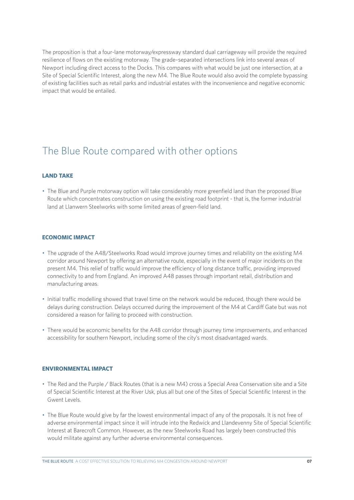The proposition is that a four-lane motorway/expressway standard dual carriageway will provide the required resilience of flows on the existing motorway. The grade–separated intersections link into several areas of Newport including direct access to the Docks. This compares with what would be just one intersection, at a Site of Special Scientific Interest, along the new M4. The Blue Route would also avoid the complete bypassing of existing facilities such as retail parks and industrial estates with the inconvenience and negative economic impact that would be entailed.

## The Blue Route compared with other options

## **LAND TAKE**

• The Blue and Purple motorway option will take considerably more greenfield land than the proposed Blue Route which concentrates construction on using the existing road footprint - that is, the former industrial land at Llanwern Steelworks with some limited areas of green-field land.

## **ECONOMIC IMPACT**

- The upgrade of the A48/Steelworks Road would improve journey times and reliability on the existing M4 corridor around Newport by offering an alternative route, especially in the event of major incidents on the present M4. This relief of traffic would improve the efficiency of long distance traffic, providing improved connectivity to and from England. An improved A48 passes through important retail, distribution and manufacturing areas.
- Initial traffic modelling showed that travel time on the network would be reduced, though there would be delays during construction. Delays occurred during the improvement of the M4 at Cardiff Gate but was not considered a reason for failing to proceed with construction.
- There would be economic benefits for the A48 corridor through journey time improvements, and enhanced accessibility for southern Newport, including some of the city's most disadvantaged wards.

## **ENVIRONMENTAL IMPACT**

- The Red and the Purple / Black Routes (that is a new M4) cross a Special Area Conservation site and a Site of Special Scientific Interest at the River Usk, plus all but one of the Sites of Special Scientific Interest in the Gwent Levels.
- The Blue Route would give by far the lowest environmental impact of any of the proposals. It is not free of adverse environmental impact since it will intrude into the Redwick and Llandevenny Site of Special Scientific Interest at Barecroft Common. However, as the new Steelworks Road has largely been constructed this would militate against any further adverse environmental consequences.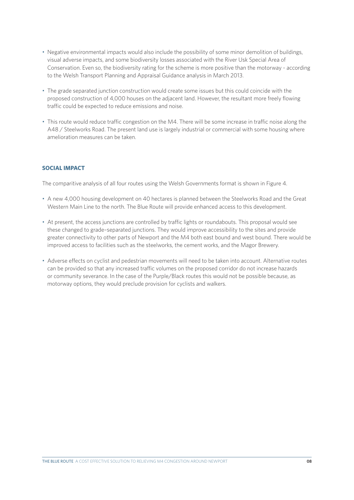- Negative environmental impacts would also include the possibility of some minor demolition of buildings, visual adverse impacts, and some biodiversity losses associated with the River Usk Special Area of Conservation. Even so, the biodiversity rating for the scheme is more positive than the motorway - according to the Welsh Transport Planning and Appraisal Guidance analysis in March 2013.
- The grade separated junction construction would create some issues but this could coincide with the proposed construction of 4,000 houses on the adjacent land. However, the resultant more freely flowing traffic could be expected to reduce emissions and noise.
- This route would reduce traffic congestion on the M4. There will be some increase in traffic noise along the A48 / Steelworks Road. The present land use is largely industrial or commercial with some housing where amelioration measures can be taken.

## **SOCIAL IMPACT**

The comparitive analysis of all four routes using the Welsh Governments format is shown in Figure 4.

- A new 4,000 housing development on 40 hectares is planned between the Steelworks Road and the Great Western Main Line to the north. The Blue Route will provide enhanced access to this development.
- At present, the access junctions are controlled by traffic lights or roundabouts. This proposal would see these changed to grade–separated junctions. They would improve accessibility to the sites and provide greater connectivity to other parts of Newport and the M4 both east bound and west bound. There would be improved access to facilities such as the steelworks, the cement works, and the Magor Brewery.
- Adverse effects on cyclist and pedestrian movements will need to be taken into account. Alternative routes can be provided so that any increased traffic volumes on the proposed corridor do not increase hazards or community severance. In the case of the Purple/Black routes this would not be possible because, as motorway options, they would preclude provision for cyclists and walkers.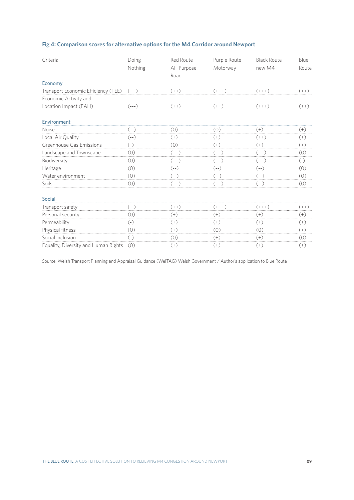## **Fig 4: Comparison scores for alternative options for the M4 Corridor around Newport**

| Criteria                             | Doing<br>Nothing | Red Route<br>All-Purpose<br>Road | Purple Route<br>Motorway | <b>Black Route</b><br>new M4 | Blue<br>Route |
|--------------------------------------|------------------|----------------------------------|--------------------------|------------------------------|---------------|
| Economy                              |                  |                                  |                          |                              |               |
| Transport Economic Efficiency (TEE)  | $(- - -)$        | $(++)$                           | $(+++)$                  | $(+ + +)$                    | $(++)$        |
| Economic Activity and                |                  |                                  |                          |                              |               |
| Location Impact (EALI)               | $(---)$          | $(++)$                           | $(++)$                   | $(+++)$                      | $(++)$        |
| Environment                          |                  |                                  |                          |                              |               |
| <b>Noise</b>                         | (--)             | (0)                              | (0)                      | $(+)$                        | $(+)$         |
| Local Air Quality                    | $(--)$           | $^{(+)}$                         | $^{(+)}$                 | $(++)$                       | $(+)$         |
| Greenhouse Gas Emissions             | $(-)$            | (0)                              | $(+)$                    | $(+)$                        | $(+)$         |
| Landscape and Townscape              | (0)              | (---)                            | $(---)$                  | $(---)$                      | (0)           |
| Biodiversity                         | (0)              | $(- - -)$                        | $(---)$                  | $(- - -)$                    | $(-)$         |
| Heritage                             | (0)              | $(--)$                           | (--)                     | (--)                         | (0)           |
| Water environment                    | (0)              | $(- - )$                         | $(- - )$                 | $(- - )$                     | (0)           |
| Soils                                | (0)              | (---)                            | (---)                    | (--)                         | (0)           |
| <b>Social</b>                        |                  |                                  |                          |                              |               |
| Transport safety                     | $(- - )$         | $(++)$                           | $(+++)$                  | $(+++)$                      | $(++)$        |
| Personal security                    | (0)              | $(+)$                            | $^{(+)}$                 | $(+)$                        | $(+)$         |
| Permeability                         | $(-)$            | $(+)$                            | $(+)$                    | $(+)$                        | $(+)$         |
| Physical fitness                     | (0)              | (+)                              | (0)                      | (0)                          | $(+)$         |
| Social inclusion                     | $(-)$            | (0)                              | $(+)$                    | $(+)$                        | (0)           |
| Equality, Diversity and Human Rights | (0)              | $^{(+)}$                         | $^{(+)}$                 | $(+)$                        | $(+)$         |

Source: Welsh Transport Planning and Appraisal Guidance (WelTAG) Welsh Government / Author's application to Blue Route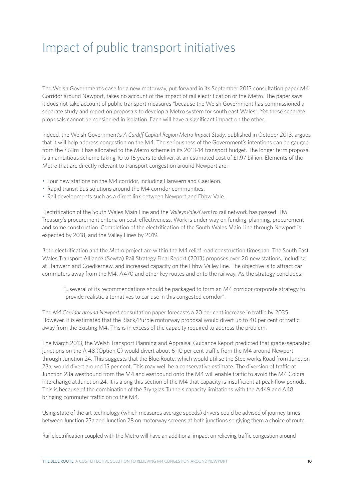# Impact of public transport initiatives

The Welsh Government's case for a new motorway, put forward in its September 2013 consultation paper M4 Corridor around Newport, takes no account of the impact of rail electrification or the Metro. The paper says it does not take account of public transport measures "because the Welsh Government has commissioned a separate study and report on proposals to develop a Metro system for south east Wales". Yet these separate proposals cannot be considered in isolation. Each will have a significant impact on the other.

Indeed, the Welsh Government's *A Cardiff Capital Region Metro Impact Study*, published in October 2013, argues that it will help address congestion on the M4. The seriousness of the Government's intentions can be gauged from the £63m it has allocated to the Metro scheme in its 2013-14 transport budget. The longer term proposal is an ambitious scheme taking 10 to 15 years to deliver, at an estimated cost of  $£1.97$  billion. Elements of the Metro that are directly relevant to transport congestion around Newport are:

- Four new stations on the M4 corridor, including Llanwern and Caerleon.
- Rapid transit bus solutions around the M4 corridor communities.
- Rail developments such as a direct link between Newport and Ebbw Vale.

Electrification of the South Wales Main Line and the *ValleysVale/CwmFro* rail network has passed HM Treasury's procurement criteria on cost-effectiveness. Work is under way on funding, planning, procurement and some construction. Completion of the electrification of the South Wales Main Line through Newport is expected by 2018, and the Valley Lines by 2019.

Both electrification and the Metro project are within the M4 relief road construction timespan. The South East Wales Transport Alliance (Sewta) Rail Strategy Final Report (2013) proposes over 20 new stations, including at Llanwern and Coedkernew, and increased capacity on the Ebbw Valley line. The objective is to attract car commuters away from the M4, A470 and other key routes and onto the railway. As the strategy concludes:

"...several of its recommendations should be packaged to form an M4 corridor corporate strategy to provide realistic alternatives to car use in this congested corridor".

The *M4 Corridor around Newport* consultation paper forecasts a 20 per cent increase in traffic by 2035. However, it is estimated that the Black/Purple motorway proposal would divert up to 40 per cent of traffic away from the existing M4. This is in excess of the capacity required to address the problem.

The March 2013, the Welsh Transport Planning and Appraisal Guidance Report predicted that grade-separated junctions on the A 48 (Option C) would divert about 6-10 per cent traffic from the M4 around Newport through Junction 24. This suggests that the Blue Route, which would utilise the Steelworks Road from Junction 23a, would divert around 15 per cent. This may well be a conservative estimate. The diversion of traffic at Junction 23a westbound from the M4 and eastbound onto the M4 will enable traffic to avoid the M4 Coldra interchange at Junction 24. It is along this section of the M4 that capacity is insufficient at peak flow periods. This is because of the combination of the Brynglas Tunnels capacity limitations with the A449 and A48 bringing commuter traffic on to the M4.

Using state of the art technology (which measures average speeds) drivers could be advised of journey times between Junction 23a and Junction 28 on motorway screens at both junctions so giving them a choice of route.

Rail electrification coupled with the Metro will have an additional impact on relieving traffic congestion around

THE BLUE ROUTE A COST EFFECTIVE SOLUTION TO RELIEVING M4 CONGESTION AROUND NEWPORT **10**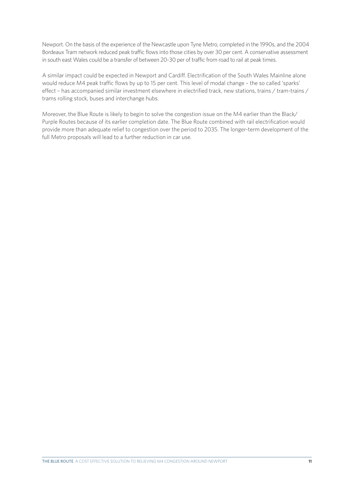Newport. On the basis of the experience of the Newcastle upon Tyne Metro, completed in the 1990s, and the 2004 Bordeaux Tram network reduced peak traffic flows into those cities by over 30 per cent. A conservative assessment in south east Wales could be a transfer of between 20-30 per of traffic from road to rail at peak times.

A similar impact could be expected in Newport and Cardiff. Electrification of the South Wales Mainline alone would reduce M4 peak traffic flows by up to 15 per cent. This level of modal change – the so called 'sparks' effect – has accompanied similar investment elsewhere in electrified track, new stations, trains / tram-trains / trams rolling stock, buses and interchange hubs.

Moreover, the Blue Route is likely to begin to solve the congestion issue on the M4 earlier than the Black/ Purple Routes because of its earlier completion date. The Blue Route combined with rail electrification would provide more than adequate relief to congestion over the period to 2035. The longer-term development of the full Metro proposals will lead to a further reduction in car use.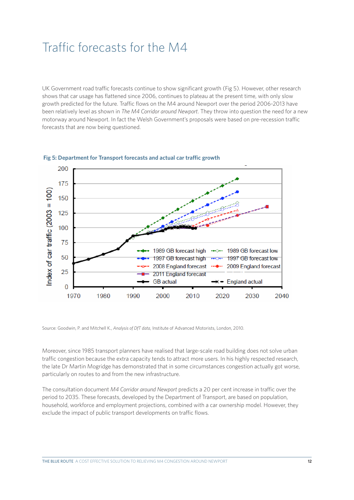## Traffic forecasts for the M4

UK Government road traffic forecasts continue to show significant growth (Fig 5). However, other research shows that car usage has flattened since 2006, continues to plateau at the present time, with only slow growth predicted for the future. Traffic flows on the M4 around Newport over the period 2006-2013 have been relatively level as shown in *The M4 Corridor around Newport*. They throw into question the need for a new motorway around Newport. In fact the Welsh Government's proposals were based on pre-recession traffic forecasts that are now being questioned.



#### **Fig 5: Department for Transport forecasts and actual car traffic growth**

Source: Goodwin, P. and Mitchell K., *Analysis of DfT data*, Institute of Advanced Motorists, London, 2010.

Moreover, since 1985 transport planners have realised that large-scale road building does not solve urban traffic congestion because the extra capacity tends to attract more users. In his highly respected research, the late Dr Martin Mogridge has demonstrated that in some circumstances congestion actually got worse, particularly on routes to and from the new infrastructure.

The consultation document *M4 Corridor around Newport* predicts a 20 per cent increase in traffic over the period to 2035. These forecasts, developed by the Department of Transport, are based on population, household, workforce and employment projections, combined with a car ownership model. However, they exclude the impact of public transport developments on traffic flows.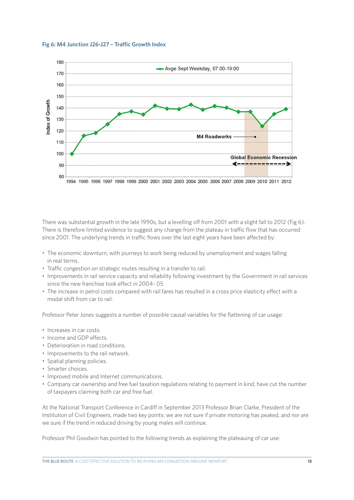#### **Fig 6: M4 Junction J26-J27 – Traffic Growth Index**



There was substantial growth in the late 1990s, but a levelling off from 2001 with a slight fall to 2012 (Fig 6). There is therefore limited evidence to suggest any change from the plateau in traffic flow that has occurred since 2001. The underlying trends in traffic flows over the last eight years have been affected by:

- The economic downturn, with journeys to work being reduced by unemployment and wages falling in real terms.
- Traffic congestion on strategic routes resulting in a transfer to rail.
- Improvements in rail service capacity and reliability following investment by the Government in rail services since the new franchise took effect in 2004- 05.
- The increase in petrol costs compared with rail fares has resulted in a cross price elasticity effect with a modal shift from car to rail.

Professor Peter Jones suggests a number of possible causal variables for the flattening of car usage:

- Increases in car costs.
- Income and GDP effects.
- Deterioration in road conditions.
- Improvements to the rail network.
- Spatial planning policies.
- Smarter choices.
- Improved mobile and Internet communications.
- Company car ownership and free fuel taxation regulations relating to payment in kind, have cut the number of taxpayers claiming both car and free fuel.

At the National Transport Conference in Cardiff in September 2013 Professor Brian Clarke, President of the Institution of Civil Engineers, made two key points: we are not sure if private motoring has peaked, and nor are we sure if the trend in reduced driving by young males will continue.

Professor Phil Goodwin has pointed to the following trends as explaining the plateauing of car use: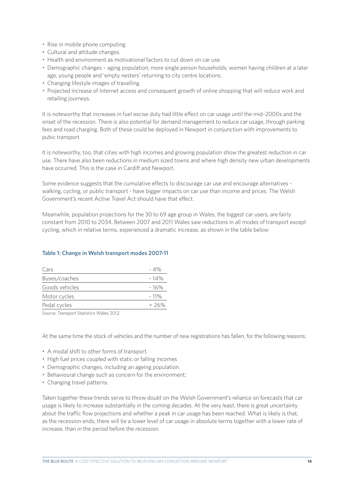- Rise in mobile phone computing.
- Cultural and attitude changes.
- Health and environment as motivational factors to cut down on car use.
- Demographic changes aging population; more single person households; women having children at a later age; young people and 'empty nesters' returning to city centre locations.
- Changing lifestyle images of travelling.
- Projected increase of Internet access and consequent growth of online shopping that will reduce work and retailing journeys.

It is noteworthy that increases in fuel excise duty had little effect on car usage until the mid–2000s and the onset of the recession. There is also potential for demand management to reduce car usage, through parking fees and road charging. Both of these could be deployed in Newport in conjunction with improvements to pubic transport.

It is noteworthy, too, that cities with high incomes and growing population show the greatest reduction in car use. There have also been reductions in medium sized towns and where high density new urban developments have occurred. This is the case in Cardiff and Newport.

Some evidence suggests that the cumulative effects to discourage car use and encourage alternatives walking, cycling, or public transport - have bigger impacts on car use than income and prices. The Welsh Government's recent Active Travel Act should have that effect.

Meanwhile, population projections for the 30 to 69 age group in Wales, the biggest car users, are fairly constant from 2010 to 2034. Between 2007 and 2011 Wales saw reductions in all modes of transport except cycling, which in relative terms, experienced a dramatic increase, as shown in the table below:

## **Table 1: Change in Welsh transport modes 2007-11**

| Cars           | - 4%    |
|----------------|---------|
| Buses/coaches  | $-14%$  |
| Goods vehicles | - 16%   |
| Motor cycles   | $-11\%$ |
| Pedal cycles   | $+26%$  |

Source: Transport Statistics Wales 2012.

At the same time the stock of vehicles and the number of new registrations has fallen, for the following reasons:

- A modal shift to other forms of transport.
- High fuel prices coupled with static or falling incomes
- Demographic changes, including an ageing population.
- Behavioural change such as concern for the environment;
- Changing travel patterns.

Taken together these trends serve to throw doubt on the Welsh Government's reliance on forecasts that car usage is likely to increase substantially in the coming decades. At the very least, there is great uncertainty about the traffic flow projections and whether a peak in car usage has been reached. What is likely is that, as the recession ends, there will be a lower level of car usage in absolute terms together with a lower rate of increase, than in the period before the recession.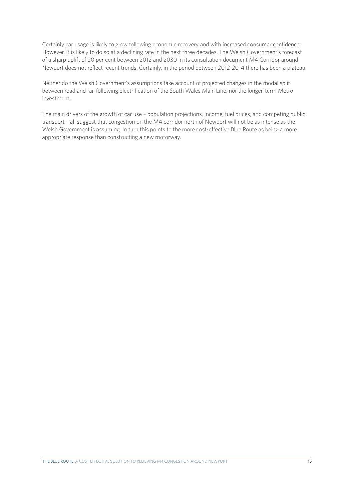Certainly car usage is likely to grow following economic recovery and with increased consumer confidence. However, it is likely to do so at a declining rate in the next three decades. The Welsh Government's forecast of a sharp uplift of 20 per cent between 2012 and 2030 in its consultation document M4 Corridor around Newport does not reflect recent trends. Certainly, in the period between 2012-2014 there has been a plateau.

Neither do the Welsh Government's assumptions take account of projected changes in the modal split between road and rail following electrification of the South Wales Main Line, nor the longer-term Metro investment.

The main drivers of the growth of car use – population projections, income, fuel prices, and competing public transport – all suggest that congestion on the M4 corridor north of Newport will not be as intense as the Welsh Government is assuming. In turn this points to the more cost-effective Blue Route as being a more appropriate response than constructing a new motorway.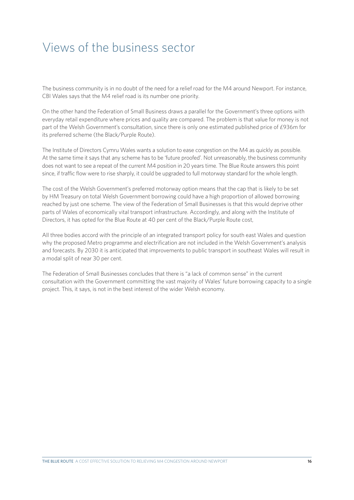# Views of the business sector

The business community is in no doubt of the need for a relief road for the M4 around Newport. For instance, CBI Wales says that the M4 relief road is its number one priority.

On the other hand the Federation of Small Business draws a parallel for the Government's three options with everyday retail expenditure where prices and quality are compared. The problem is that value for money is not part of the Welsh Government's consultation, since there is only one estimated published price of £936m for its preferred scheme (the Black/Purple Route).

The Institute of Directors Cymru Wales wants a solution to ease congestion on the M4 as quickly as possible. At the same time it says that any scheme has to be 'future proofed'. Not unreasonably, the business community does not want to see a repeat of the current M4 position in 20 years time. The Blue Route answers this point since, if traffic flow were to rise sharply, it could be upgraded to full motorway standard for the whole length.

The cost of the Welsh Government's preferred motorway option means that the cap that is likely to be set by HM Treasury on total Welsh Government borrowing could have a high proportion of allowed borrowing reached by just one scheme. The view of the Federation of Small Businesses is that this would deprive other parts of Wales of economically vital transport infrastructure. Accordingly, and along with the Institute of Directors, it has opted for the Blue Route at 40 per cent of the Black/Purple Route cost,

All three bodies accord with the principle of an integrated transport policy for south east Wales and question why the proposed Metro programme and electrification are not included in the Welsh Government's analysis and forecasts. By 2030 it is anticipated that improvements to public transport in southeast Wales will result in a modal split of near 30 per cent.

The Federation of Small Businesses concludes that there is "a lack of common sense" in the current consultation with the Government committing the vast majority of Wales' future borrowing capacity to a single project. This, it says, is not in the best interest of the wider Welsh economy.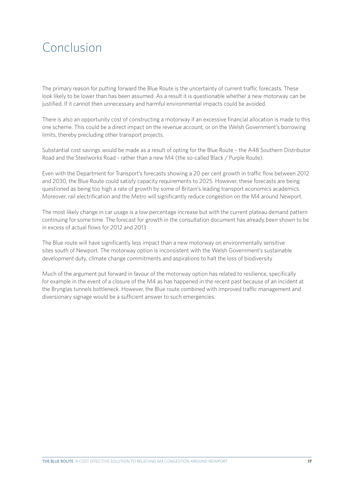# Conclusion

The primary reason for putting forward the Blue Route is the uncertainty of current traffic forecasts. These look likely to be lower than has been assumed. As a result it is questionable whether a new motorway can be justified. If it cannot then unnecessary and harmful environmental impacts could be avoided.

There is also an opportunity cost of constructing a motorway if an excessive financial allocation is made to this one scheme. This could be a direct impact on the revenue account, or on the Welsh Government's borrowing limits, thereby precluding other transport projects.

Substantial cost savings would be made as a result of opting for the Blue Route – the A48 Southern Distributor Road and the Steelworks Road - rather than a new M4 (the so-called Black / Purple Route).

Even with the Department for Transport's forecasts showing a 20 per cent growth in traffic flow between 2012 and 2030, the Blue Route could satisfy capacity requirements to 2025. However, these forecasts are being questioned as being too high a rate of growth by some of Britain's leading transport economics academics. Moreover, rail electrification and the Metro will significantly reduce congestion on the M4 around Newport.

The most likely change in car usage is a low percentage increase but with the current plateau demand pattern continuing for some time. The forecast for growth in the consultation document has already been shown to be in excess of actual flows for 2012 and 2013

The Blue route will have significantly less impact than a new motorway on environmentally sensitive sites south of Newport. The motorway option is inconsistent with the Welsh Government's sustainable development duty, climate change commitments and aspirations to halt the loss of biodiversity

Much of the argument put forward in favour of the motorway option has related to resilience, specifically for example in the event of a closure of the M4 as has happened in the recent past because of an incident at the Brynglas tunnels bottleneck. However, the Blue route combined with improved traffic management and diversionary signage would be a sufficient answer to such emergencies.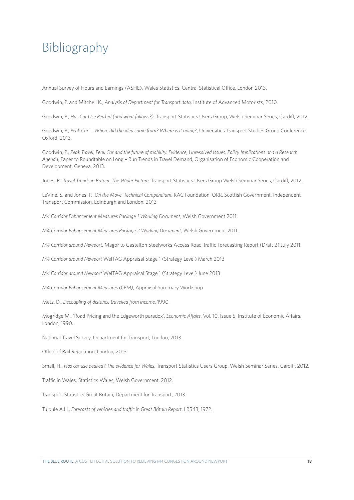# Bibliography

Annual Survey of Hours and Earnings (ASHE), Wales Statistics, Central Statistical Office, London 2013.

Goodwin, P. and Mitchell K., *Analysis of Department for Transport data*, Institute of Advanced Motorists, 2010.

Goodwin, P., *Has Car Use Peaked (and what follows?)*, Transport Statistics Users Group, Welsh Seminar Series, Cardiff, 2012.

Goodwin, P., *Peak Car' – Where did the idea come from? Where is it going?*, Universities Transport Studies Group Conference, Oxford, 2013.

Goodwin, P., *Peak Travel, Peak Car and the future of mobility. Evidence, Unresolved Issues, Policy Implications and a Research Agenda*, Paper to Roundtable on Long – Run Trends in Travel Demand, Organisation of Economic Cooperation and Development, Geneva, 2013.

Jones, P., *Travel Trends in Britain: The Wider Picture*, Transport Statistics Users Group Welsh Seminar Series, Cardiff, 2012.

LeVine, S. and Jones, P., *On the Move, Technical Compendium*, RAC Foundation, ORR, Scottish Government, Independent Transport Commission, Edinburgh and London, 2013

*M4 Corridor Enhancement Measures Package 1 Working Document*, Welsh Government 2011.

*M4 Corridor Enhancement Measures Package 2 Working Document,* Welsh Government 2011.

*M4 Corridor around Newport*, Magor to Castelton Steelworks Access Road Traffic Forecasting Report (Draft 2) July 2011

*M4 Corridor around Newport* WelTAG Appraisal Stage 1 (Strategy Level) March 2013

*M4 Corridor around Newport* WelTAG Appraisal Stage 1 (Strategy Level) June 2013

*M4 Corridor Enhancement Measures (CEM)*, Appraisal Summary Workshop

Metz, D., *Decoupling of distance travelled from income*, 1990.

Mogridge M., 'Road Pricing and the Edgeworth paradox', *Economic Affairs*, Vol. 10, Issue 5, Institute of Economic Affairs, London, 1990.

National Travel Survey, Department for Transport, London, 2013.

Office of Rail Regulation, London, 2013.

Small, H., *Has car use peaked? The evidence for Wales*, Transport Statistics Users Group, Welsh Seminar Series, Cardiff, 2012.

Traffic in Wales, Statistics Wales, Welsh Government, 2012.

Transport Statistics Great Britain, Department for Transport, 2013.

Tulpule A.H., *Forecasts of vehicles and traffic in Great Britain Report*, LR543, 1972.